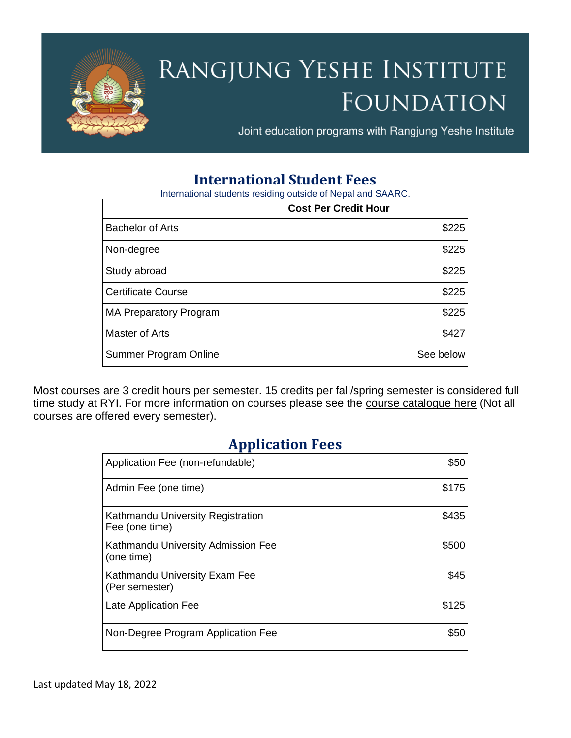

# RANGJUNG YESHE INSTITUTE FOUNDATION

Joint education programs with Rangjung Yeshe Institute

## **International Student Fees**

International students residing outside of Nepal and SAARC.

|                               | <b>Cost Per Credit Hour</b> |
|-------------------------------|-----------------------------|
| <b>Bachelor of Arts</b>       | \$225                       |
| Non-degree                    | \$225                       |
| Study abroad                  | \$225                       |
| <b>Certificate Course</b>     | \$225                       |
| <b>MA Preparatory Program</b> | \$225                       |
| Master of Arts                | \$427                       |
| Summer Program Online         | See below                   |

Most courses are 3 credit hours per semester. 15 credits per fall/spring semester is considered full time study at RYI. For more information on courses please see the [course catalogue here](https://ryi.org/courses) (Not all courses are offered every semester).

## **Application Fees**

| Application Fee (non-refundable)                    | \$50  |
|-----------------------------------------------------|-------|
| Admin Fee (one time)                                | \$175 |
| Kathmandu University Registration<br>Fee (one time) | \$435 |
| Kathmandu University Admission Fee<br>(one time)    | \$500 |
| Kathmandu University Exam Fee<br>(Per semester)     | \$45  |
| Late Application Fee                                | \$125 |
| Non-Degree Program Application Fee                  | \$50  |